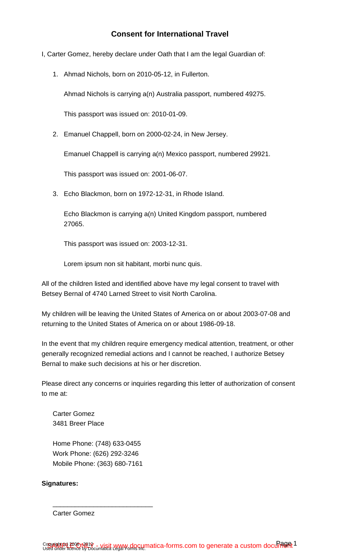- I, Carter Gomez, hereby declare under Oath that I am the legal Guardian of:
	- 1. Ahmad Nichols, born on 2010-05-12, in Fullerton.

Ahmad Nichols is carrying a(n) Australia passport, numbered 49275.

This passport was issued on: 2010-01-09.

2. Emanuel Chappell, born on 2000-02-24, in New Jersey.

Emanuel Chappell is carrying a(n) Mexico passport, numbered 29921.

This passport was issued on: 2001-06-07.

3. Echo Blackmon, born on 1972-12-31, in Rhode Island.

Echo Blackmon is carrying a(n) United Kingdom passport, numbered 27065.

This passport was issued on: 2003-12-31.

Lorem ipsum non sit habitant, morbi nunc quis.

All of the children listed and identified above have my legal consent to travel with Betsey Bernal of 4740 Larned Street to visit North Carolina.

My children will be leaving the United States of America on or about 2003-07-08 and returning to the United States of America on or about 1986-09-18.

In the event that my children require emergency medical attention, treatment, or other generally recognized remedial actions and I cannot be reached, I authorize Betsey Bernal to make such decisions at his or her discretion.

Please direct any concerns or inquiries regarding this letter of authorization of consent to me at:

Carter Gomez 3481 Breer Place

Home Phone: (748) 633-0455 Work Phone: (626) 292-3246 Mobile Phone: (363) 680-7161

\_\_\_\_\_\_\_\_\_\_\_\_\_\_\_\_\_\_\_\_\_\_\_\_\_\_\_

## **Signatures:**

Carter Gomez

Copyright (c) 2006 N91 & - visit www.documatica-forms.com to generate a custom document Copyright in 2006 N919 - visit WWW docµmatica-forms.com to generate a custom docum of the Set 1 and the Light T<br>Used under licence by Documatica Legal Pompey included: